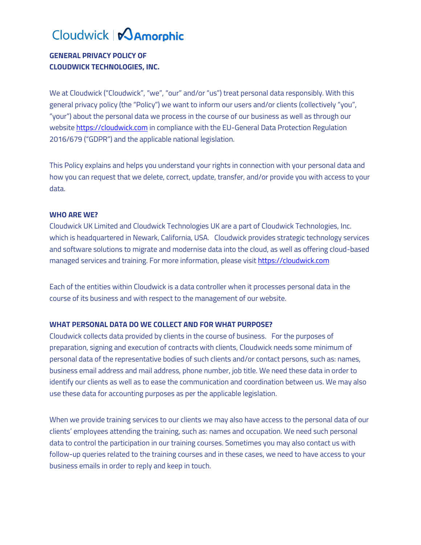# **GENERAL PRIVACY POLICY OF CLOUDWICK TECHNOLOGIES, INC.**

We at Cloudwick ("Cloudwick", "we", "our" and/or "us") treat personal data responsibly. With this general privacy policy (the "Policy") we want to inform our users and/or clients (collectively "you", "your") about the personal data we process in the course of our business as well as through our website [https://cloudwick.com](https://cloudwick.com/) in compliance with the EU-General Data Protection Regulation 2016/679 ("GDPR") and the applicable national legislation.

This Policy explains and helps you understand your rights in connection with your personal data and how you can request that we delete, correct, update, transfer, and/or provide you with access to your data.

#### **WHO ARE WE?**

Cloudwick UK Limited and Cloudwick Technologies UK are a part of Cloudwick Technologies, Inc. which is headquartered in Newark, California, USA. Cloudwick provides strategic technology services and software solutions to migrate and modernise data into the cloud, as well as offering cloud-based managed services and training. For more information, please visit [https://cloudwick.com](https://cloudwick.com/)

Each of the entities within Cloudwick is a data controller when it processes personal data in the course of its business and with respect to the management of our website.

### **WHAT PЕRSONAL DATA DO WE COLLECT AND FOR WHAT PURPOSE?**

Cloudwick collects data provided by clients in the course of business. For the purposes of preparation, signing and execution of contracts with clients, Cloudwick needs some minimum of personal data of the representative bodies of such clients and/or contact persons, such as: names, business email address and mail address, phone number, job title. We need these data in order to identify our clients as well as to ease the communication and coordination between us. We may also use these data for accounting purposes as per the applicable legislation.

When we provide training services to our clients we may also have access to the personal data of our clients' employees attending the training, such as: names and occupation. We need such personal data to control the participation in our training courses. Sometimes you may also contact us with follow-up queries related to the training courses and in these cases, we need to have access to your business emails in order to reply and keep in touch.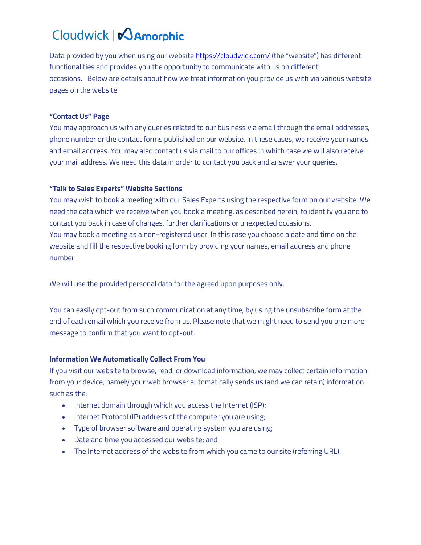Data provided by you when using our websit[e https://cloudwick.com/](http://cloudwick.com/) (the "website") has different functionalities and provides you the opportunity to communicate with us on different occasions. Below are details about how we treat information you provide us with via various website pages on the website:

# **"Contact Us" Page**

You may approach us with any queries related to our business via email through the email addresses, phone number or the contact forms published on our website. In these cases, we receive your names and email address. You may also contact us via mail to our offices in which case we will also receive your mail address. We need this data in order to contact you back and answer your queries.

### **"Talk to Sales Experts" Website Sections**

You may wish to book a meeting with our Sales Experts using the respective form on our website. We need the data which we receive when you book a meeting, as described herein, to identify you and to contact you back in case of changes, further clarifications or unexpected occasions. You may book a meeting as a non-registered user. In this case you choose a date and time on the website and fill the respective booking form by providing your names, email address and phone number.

We will use the provided personal data for the agreed upon purposes only.

You can easily opt-out from such communication at any time, by using the unsubscribe form at the end of each email which you receive from us. Please note that we might need to send you one more message to confirm that you want to opt-out.

# **Information We Automatically Collect From You**

If you visit our website to browse, read, or download information, we may collect certain information from your device, namely your web browser automatically sends us (and we can retain) information such as the:

- Internet domain through which you access the Internet (ISP);
- Internet Protocol (IP) address of the computer you are using;
- Type of browser software and operating system you are using;
- Date and time you accessed our website; and
- The Internet address of the website from which you came to our site (referring URL).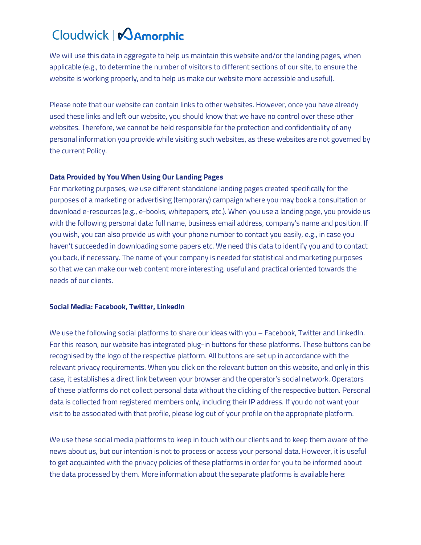We will use this data in aggregate to help us maintain this website and/or the landing pages, when applicable (e.g., to determine the number of visitors to different sections of our site, to ensure the website is working properly, and to help us make our website more accessible and useful).

Please note that our website can contain links to other websites. However, once you have already used these links and left our website, you should know that we have no control over these other websites. Therefore, we cannot be held responsible for the protection and confidentiality of any personal information you provide while visiting such websites, as these websites are not governed by the current Policy.

### **Data Provided by You When Using Our Landing Pages**

For marketing purposes, we use different standalone landing pages created specifically for the purposes of a marketing or advertising (temporary) campaign where you may book a consultation or download e-resources (e.g., e-books, whitepapers, etc.). When you use a landing page, you provide us with the following personal data: full name, business email address, company's name and position. If you wish, you can also provide us with your phone number to contact you easily, e.g., in case you haven't succeeded in downloading some papers etc. We need this data to identify you and to contact you back, if necessary. The name of your company is needed for statistical and marketing purposes so that we can make our web content more interesting, useful and practical oriented towards the needs of our clients.

### **Social Media: Facebook, Twitter, LinkedIn**

We use the following social platforms to share our ideas with you - Facebook, Twitter and LinkedIn. For this reason, our website has integrated plug-in buttons for these platforms. These buttons can be recognised by the logo of the respective platform. All buttons are set up in accordance with the relevant privacy requirements. When you click on the relevant button on this website, and only in this case, it establishes a direct link between your browser and the operator's social network. Operators of these platforms do not collect personal data without the clicking of the respective button. Personal data is collected from registered members only, including their IP address. If you do not want your visit to be associated with that profile, please log out of your profile on the appropriate platform.

We use these social media platforms to keep in touch with our clients and to keep them aware of the news about us, but our intention is not to process or access your personal data. However, it is useful to get acquainted with the privacy policies of these platforms in order for you to be informed about the data processed by them. More information about the separate platforms is available here: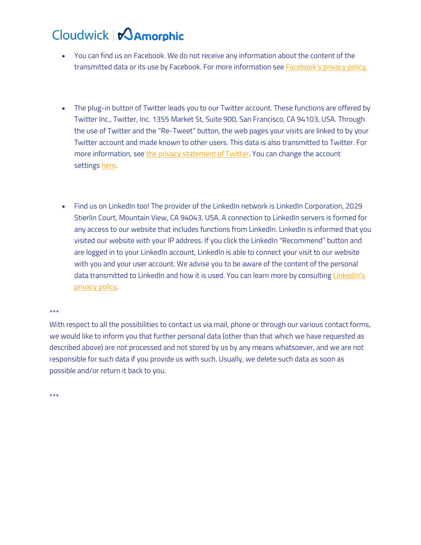- You can find us on Facebook. We do not receive any information about the content of the transmitted data or its use by Facebook. For more information see **Facebook's privacy policy**.
- The plug-in button of Twitter leads you to our Twitter account. These functions are offered by Twitter Inc., Twitter, Inc. 1355 Market St, Suite 900, San Francisco, CA 94103, USA. Through the use of Twitter and the "Re-Tweet" button, the web pages your visits are linked to by your Twitter account and made known to other users. This data is also transmitted to Twitter. For more information, see [the privacy statement of Twitter.](https://twitter.com/en/privacy) You can change the account settings [here.](https://twitter.com/i/flow/consent_flow)
- Find us on LinkedIn too! The provider of the LinkedIn network is LinkedIn Corporation, 2029 Stierlin Court, Mountain View, CA 94043, USA. A connection to LinkedIn servers is formed for any access to our website that includes functions from LinkedIn. LinkedIn is informed that you visited our website with your IP address. If you click the LinkedIn "Recommend" button and are logged in to your LinkedIn account, LinkedIn is able to connect your visit to our website with you and your user account. We advise you to be aware of the content of the personal data transmitted to LinkedIn and how it is used. You can learn more by consulting Lin[kedIn's](https://www.linkedin.com/legal/privacy-policy)  [privacy policy.](https://www.linkedin.com/legal/privacy-policy)

#### \*\*\*

With respect to all the possibilities to contact us via mail, phone or through our various contact forms, we would like to inform you that further personal data (other than that which we have requested as described above) are not processed and not stored by us by any means whatsoever, and we are not responsible for such data if you provide us with such. Usually, we delete such data as soon as possible and/or return it back to you.

\*\*\*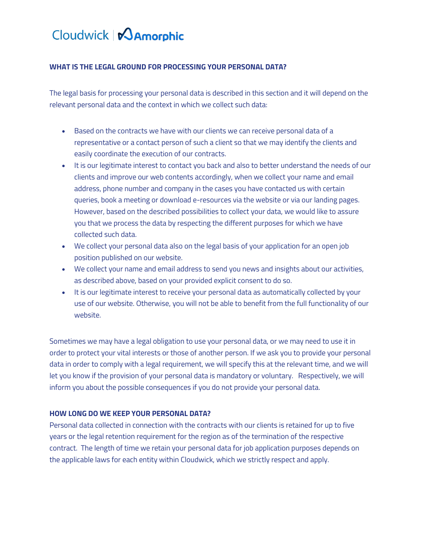# **WHAT IS THE LEGAL GROUND FOR PROCESSING YOUR PERSONAL DATA?**

The legal basis for processing your personal data is described in this section and it will depend on the relevant personal data and the context in which we collect such data:

- Based on the contracts we have with our clients we can receive personal data of a representative or a contact person of such a client so that we may identify the clients and easily coordinate the execution of our contracts.
- It is our legitimate interest to contact you back and also to better understand the needs of our clients and improve our web contents accordingly, when we collect your name and email address, phone number and company in the cases you have contacted us with certain queries, book a meeting or download e-resources via the website or via our landing pages. However, based on the described possibilities to collect your data, we would like to assure you that we process the data by respecting the different purposes for which we have collected such data.
- We collect your personal data also on the legal basis of your application for an open job position published on our website.
- We collect your name and email address to send you news and insights about our activities, as described above, based on your provided explicit consent to do so.
- It is our legitimate interest to receive your personal data as automatically collected by your use of our website. Otherwise, you will not be able to benefit from the full functionality of our website.

Sometimes we may have a legal obligation to use your personal data, or we may need to use it in order to protect your vital interests or those of another person. If we ask you to provide your personal data in order to comply with a legal requirement, we will specify this at the relevant time, and we will let you know if the provision of your personal data is mandatory or voluntary. Respectively, we will inform you about the possible consequences if you do not provide your personal data.

### **HOW LONG DO WE KEEP YOUR PERSONAL DATA?**

Personal data collected in connection with the contracts with our clients is retained for up to five years or the legal retention requirement for the region as of the termination of the respective contract. The length of time we retain your personal data for job application purposes depends on the applicable laws for each entity within Cloudwick, which we strictly respect and apply.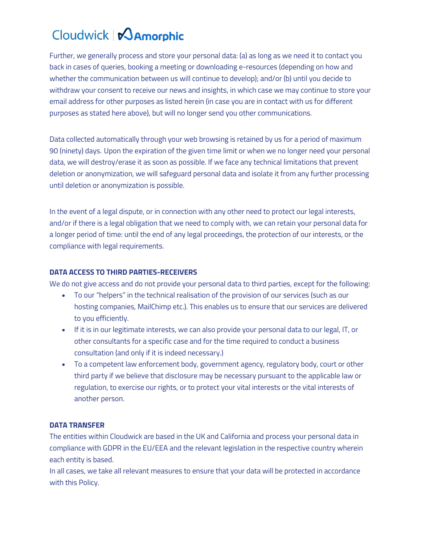Further, we generally process and store your personal data: (a) as long as we need it to contact you back in cases of queries, booking a meeting or downloading e-resources (depending on how and whether the communication between us will continue to develop); and/or (b) until you decide to withdraw your consent to receive our news and insights, in which case we may continue to store your email address for other purposes as listed herein (in case you are in contact with us for different purposes as stated here above), but will no longer send you other communications.

Data collected automatically through your web browsing is retained by us for a period of maximum 90 (ninety) days. Upon the expiration of the given time limit or when we no longer need your personal data, we will destroy/erase it as soon as possible. If we face any technical limitations that prevent deletion or anonymization, we will safeguard personal data and isolate it from any further processing until deletion or anonymization is possible.

In the event of a legal dispute, or in connection with any other need to protect our legal interests, and/or if there is a legal obligation that we need to comply with, we can retain your personal data for a longer period of time: until the end of any legal proceedings, the protection of our interests, or the compliance with legal requirements.

# **DATA ACCESS TO THIRD PARTIES-RECEIVERS**

We do not give access and do not provide your personal data to third parties, except for the following:

- To our "helpers" in the technical realisation of the provision of our services (such as our hosting companies, MailChimp etc.). This enables us to ensure that our services are delivered to you efficiently.
- If it is in our legitimate interests, we can also provide your personal data to our legal, IT, or other consultants for a specific case and for the time required to conduct a business consultation (and only if it is indeed necessary.)
- To a competent law enforcement body, government agency, regulatory body, court or other third party if we believe that disclosure may be necessary pursuant to the applicable law or regulation, to exercise our rights, or to protect your vital interests or the vital interests of another person.

### **DATA TRANSFER**

The entities within Cloudwick are based in the UK and California and process your personal data in compliance with GDPR in the EU/EEA and the relevant legislation in the respective country wherein each entity is based.

In all cases, we take all relevant measures to ensure that your data will be protected in accordance with this Policy.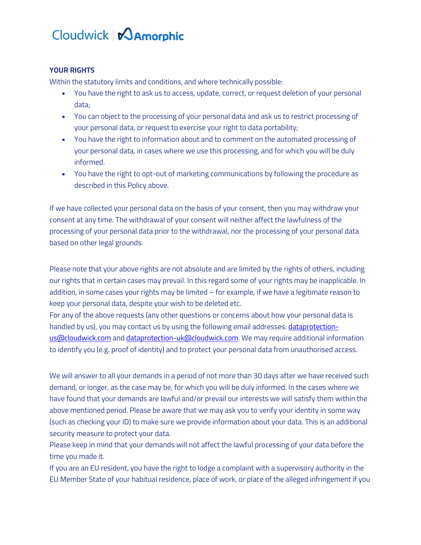# **YOUR RIGHTS**

Within the statutory limits and conditions, and where technically possible:

- You have the right to ask us to access, update, correct, or request deletion of your personal data;
- You can object to the processing of your personal data and ask us to restrict processing of your personal data, or request to exercise your right to data portability;
- You have the right to information about and to comment on the automated processing of your personal data, in cases where we use this processing, and for which you will be duly informed.
- You have the right to opt-out of marketing communications by following the procedure as described in this Policy above.

If we have collected your personal data on the basis of your consent, then you may withdraw your consent at any time. The withdrawal of your consent will neither affect the lawfulness of the processing of your personal data prior to the withdrawal, nor the processing of your personal data based on other legal grounds.

Please note that your above rights are not absolute and are limited by the rights of others, including our rights that in certain cases may prevail. In this regard some of your rights may be inapplicable. In addition, in some cases your rights may be limited – for example, if we have a legitimate reason to keep your personal data, despite your wish to be deleted etc.

For any of the above requests (any other questions or concerns about how your personal data is handled by us), you may contact us by using the following email addresses[: dataprotection](mailto:dataprotectionuk@cloudwick.com)[us@cloudwick.com](mailto:dataprotectionuk@cloudwick.com) and [dataprotection-uk@cloudwick.com.](mailto:dataprotectionuk@cloudwick.com) We may require additional information to identify you (e.g. proof of identity) and to protect your personal data from unauthorised access.

We will answer to all your demands in a period of not more than 30 days after we have received such demand, or longer, as the case may be, for which you will be duly informed. In the cases where we have found that your demands are lawful and/or prevail our interests we will satisfy them within the above mentioned period. Please be aware that we may ask you to verify your identity in some way (such as checking your ID) to make sure we provide information about your data. This is an additional security measure to protect your data.

Please keep in mind that your demands will not affect the lawful processing of your data before the time you made it.

If you are an EU resident, you have the right to lodge a complaint with a supervisory authority in the EU Member State of your habitual residence, place of work, or place of the alleged infringement if you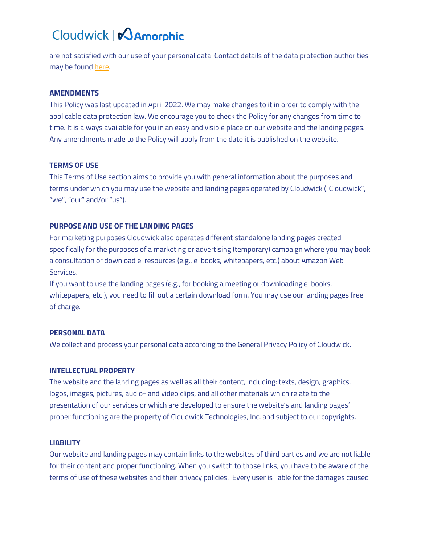are not satisfied with our use of your personal data. Contact details of the data protection authorities may be found [here.](https://edpb.europa.eu/about-edpb/board/members_en)

### **AMENDMENTS**

This Policy was last updated in April 2022. We may make changes to it in order to comply with the applicable data protection law. We encourage you to check the Policy for any changes from time to time. It is always available for you in an easy and visible place on our website and the landing pages. Any amendments made to the Policy will apply from the date it is published on the website.

#### **TERMS OF USE**

This Terms of Use section aims to provide you with general information about the purposes and terms under which you may use the website and landing pages operated by Cloudwick ("Cloudwick", "we", "our" and/or "us").

### **PURPOSE AND USE OF THE LANDING PAGES**

For marketing purposes Cloudwick also operates different standalone landing pages created specifically for the purposes of a marketing or advertising (temporary) campaign where you may book a consultation or download e-resources (e.g., e-books, whitepapers, etc.) about Amazon Web Services.

If you want to use the landing pages (e.g., for booking a meeting or downloading e-books, whitepapers, etc.), you need to fill out a certain download form. You may use our landing pages free of charge.

### **PERSONAL DATA**

We collect and process your personal data according to the General Privacy Policy of Cloudwick.

#### **INTELLECTUAL PROPERTY**

The website and the landing pages as well as all their content, including: texts, design, graphics, logos, images, pictures, audio- and video clips, and all other materials which relate to the presentation of our services or which are developed to ensure the website's and landing pages' proper functioning are the property of Cloudwick Technologies, Inc. and subject to our copyrights.

### **LIABILITY**

Our website and landing pages may contain links to the websites of third parties and we are not liable for their content and proper functioning. When you switch to those links, you have to be aware of the terms of use of these websites and their privacy policies. Every user is liable for the damages caused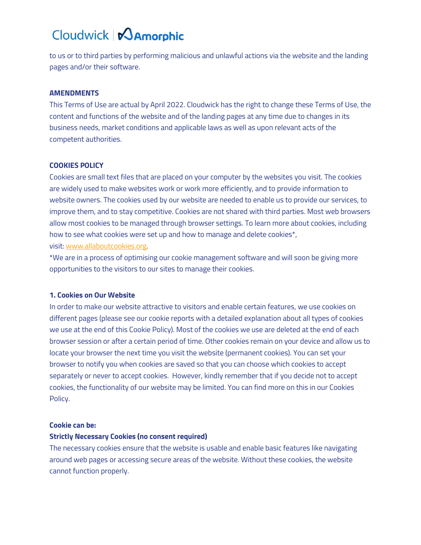to us or to third parties by performing malicious and unlawful actions via the website and the landing pages and/or their software.

### **AMENDMENTS**

This Terms of Use are actual by April 2022. Cloudwick has the right to change these Terms of Use, the content and functions of the website and of the landing pages at any time due to changes in its business needs, market conditions and applicable laws as well as upon relevant acts of the competent authorities.

#### **COOKIES POLICY**

Cookies are small text files that are placed on your computer by the websites you visit. The cookies are widely used to make websites work or work more efficiently, and to provide information to website owners. The cookies used by our website are needed to enable us to provide our services, to improve them, and to stay competitive. Cookies are not shared with third parties. Most web browsers allow most cookies to be managed through browser settings. To learn more about cookies, including how to see what cookies were set up and how to manage and delete cookies\*, visit: [www.allaboutcookies.org.](http://www.allaboutcookies.org/)

\*We are in a process of optimising our cookie management software and will soon be giving more opportunities to the visitors to our sites to manage their cookies.

### **1. Cookies on Our Website**

In order to make our website attractive to visitors and enable certain features, we use cookies on different pages (please see our cookie reports with a detailed explanation about all types of cookies we use at the end of this Cookie Policy). Most of the cookies we use are deleted at the end of each browser session or after a certain period of time. Other cookies remain on your device and allow us to locate your browser the next time you visit the website (permanent cookies). You can set your browser to notify you when cookies are saved so that you can choose which cookies to accept separately or never to accept cookies. However, kindly remember that if you decide not to accept cookies, the functionality of our website may be limited. You can find more on this in our Cookies Policy.

### **Cookie can be:**

# **Strictly Necessary Cookies (no consent required)**

The necessary cookies ensure that the website is usable and enable basic features like navigating around web pages or accessing secure areas of the website. Without these cookies, the website cannot function properly.